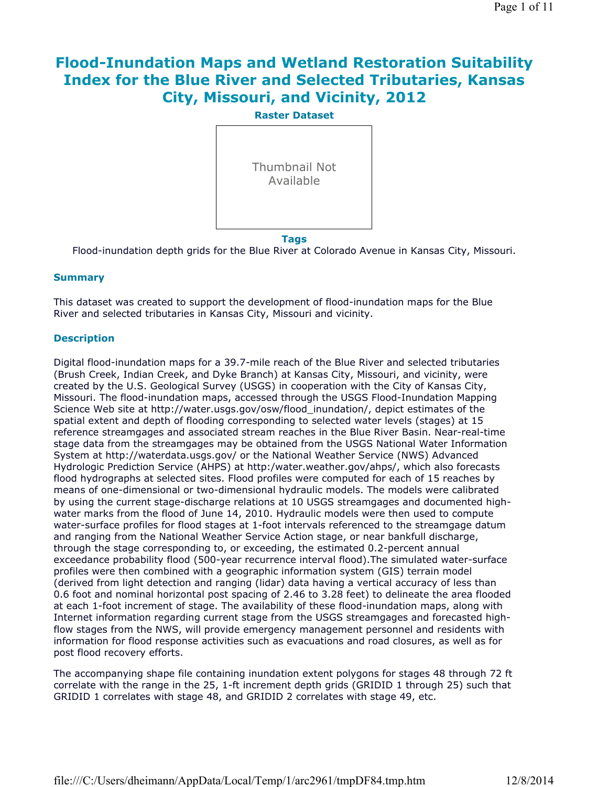# **Flood-Inundation Maps and Wetland Restoration Suitability Index for the Blue River and Selected Tributaries, Kansas City, Missouri, and Vicinity, 2012**



Flood-inundation depth grids for the Blue River at Colorado Avenue in Kansas City, Missouri.

### **Summary**

This dataset was created to support the development of flood-inundation maps for the Blue River and selected tributaries in Kansas City, Missouri and vicinity.

### **Description**

Digital flood-inundation maps for a 39.7-mile reach of the Blue River and selected tributaries (Brush Creek, Indian Creek, and Dyke Branch) at Kansas City, Missouri, and vicinity, were created by the U.S. Geological Survey (USGS) in cooperation with the City of Kansas City, Missouri. The flood-inundation maps, accessed through the USGS Flood-Inundation Mapping Science Web site at http://water.usgs.gov/osw/flood\_inundation/, depict estimates of the spatial extent and depth of flooding corresponding to selected water levels (stages) at 15 reference streamgages and associated stream reaches in the Blue River Basin. Near-real-time stage data from the streamgages may be obtained from the USGS National Water Information System at http://waterdata.usgs.gov/ or the National Weather Service (NWS) Advanced Hydrologic Prediction Service (AHPS) at http:/water.weather.gov/ahps/, which also forecasts flood hydrographs at selected sites. Flood profiles were computed for each of 15 reaches by means of one-dimensional or two-dimensional hydraulic models. The models were calibrated by using the current stage-discharge relations at 10 USGS streamgages and documented highwater marks from the flood of June 14, 2010. Hydraulic models were then used to compute water-surface profiles for flood stages at 1-foot intervals referenced to the streamgage datum and ranging from the National Weather Service Action stage, or near bankfull discharge, through the stage corresponding to, or exceeding, the estimated 0.2-percent annual exceedance probability flood (500-year recurrence interval flood).The simulated water-surface profiles were then combined with a geographic information system (GIS) terrain model (derived from light detection and ranging (lidar) data having a vertical accuracy of less than 0.6 foot and nominal horizontal post spacing of 2.46 to 3.28 feet) to delineate the area flooded at each 1-foot increment of stage. The availability of these flood-inundation maps, along with Internet information regarding current stage from the USGS streamgages and forecasted highflow stages from the NWS, will provide emergency management personnel and residents with information for flood response activities such as evacuations and road closures, as well as for post flood recovery efforts.

The accompanying shape file containing inundation extent polygons for stages 48 through 72 ft correlate with the range in the 25, 1-ft increment depth grids (GRIDID 1 through 25) such that GRIDID 1 correlates with stage 48, and GRIDID 2 correlates with stage 49, etc.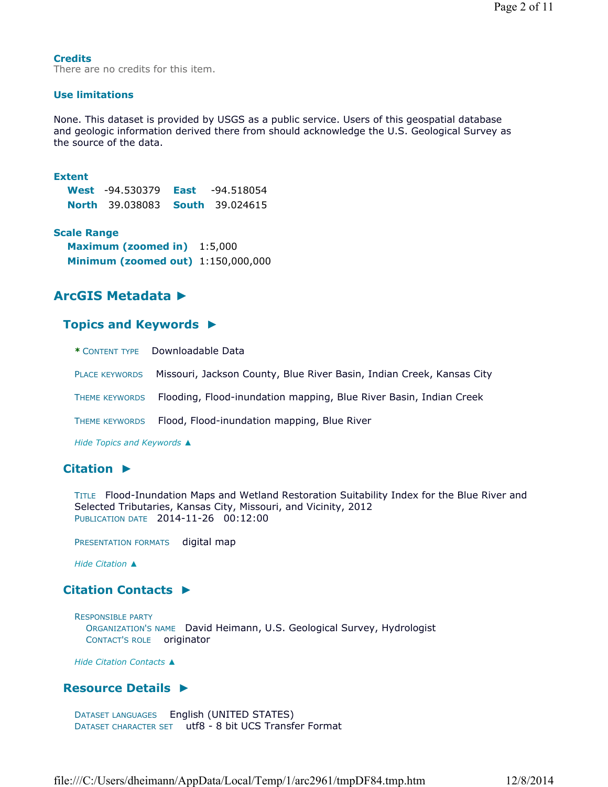#### **Credits**

There are no credits for this item.

#### **Use limitations**

None. This dataset is provided by USGS as a public service. Users of this geospatial database and geologic information derived there from should acknowledge the U.S. Geological Survey as the source of the data.

#### **Extent**

**West** -94.530379 **East** -94.518054 **North** 39.038083 **South** 39.024615

#### **Scale Range**

**Maximum (zoomed in)** 1:5,000 **Minimum (zoomed out)** 1:150,000,000

# **ArcGIS Metadata ►**

# **Topics and Keywords ►**

|                       | * CONTENT TYPE  Downloadable Data                                                 |
|-----------------------|-----------------------------------------------------------------------------------|
| <b>PLACE KEYWORDS</b> | Missouri, Jackson County, Blue River Basin, Indian Creek, Kansas City             |
|                       | THEME KEYWORDS Flooding, Flood-inundation mapping, Blue River Basin, Indian Creek |
|                       | THEME KEYWORDS Flood, Flood-inundation mapping, Blue River                        |
|                       |                                                                                   |

*Hide Topics and Keywords ▲*

# **Citation ►**

TITLE Flood-Inundation Maps and Wetland Restoration Suitability Index for the Blue River and Selected Tributaries, Kansas City, Missouri, and Vicinity, 2012 PUBLICATION DATE 2014-11-26 00:12:00

PRESENTATION FORMATS digital map

*Hide Citation ▲*

# **Citation Contacts ►**

RESPONSIBLE PARTY ORGANIZATION'S NAME David Heimann, U.S. Geological Survey, Hydrologist CONTACT'S ROLE originator

*Hide Citation Contacts ▲*

# **Resource Details ►**

DATASET LANGUAGES English (UNITED STATES) DATASET CHARACTER SET utf8 - 8 bit UCS Transfer Format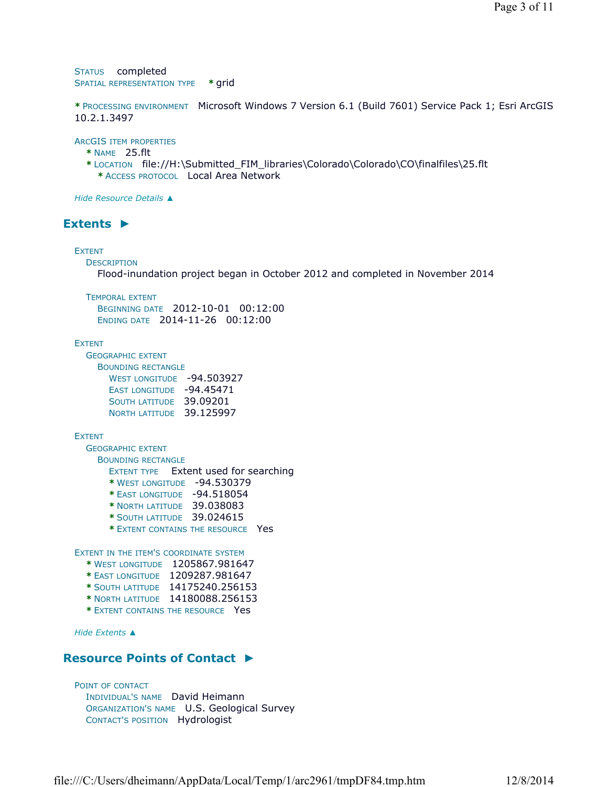STATUS completed SPATIAL REPRESENTATION TYPE **\*** grid

**\*** PROCESSING ENVIRONMENT Microsoft Windows 7 Version 6.1 (Build 7601) Service Pack 1; Esri ArcGIS 10.2.1.3497

ARCGIS ITEM PROPERTIES

**\*** NAME 25.flt

**\*** LOCATION file://H:\Submitted\_FIM\_libraries\Colorado\Colorado\CO\finalfiles\25.flt **\*** ACCESS PROTOCOL Local Area Network

*Hide Resource Details ▲*

# **Extents ►**

#### EXTENT

**DESCRIPTION** 

Flood-inundation project began in October 2012 and completed in November 2014

TEMPORAL EXTENT

BEGINNING DATE 2012-10-01 00:12:00 ENDING DATE 2014-11-26 00:12:00

#### **EXTENT**

GEOGRAPHIC EXTENT BOUNDING RECTANGLE WEST LONGITUDE -94.503927 EAST LONGITUDE -94.45471 SOUTH LATITUDE 39.09201 NORTH LATITUDE 39.125997

#### EXTENT

GEOGRAPHIC EXTENT

BOUNDING RECTANGLE

EXTENT TYPE Extent used for searching

**\*** WEST LONGITUDE -94.530379

- **\*** EAST LONGITUDE -94.518054
- **\*** NORTH LATITUDE 39.038083
- **\*** SOUTH LATITUDE 39.024615
- **\*** EXTENT CONTAINS THE RESOURCE Yes

EXTENT IN THE ITEM'S COORDINATE SYSTEM

- **\*** WEST LONGITUDE 1205867.981647
- **\*** EAST LONGITUDE 1209287.981647
- **\*** SOUTH LATITUDE 14175240.256153
- **\*** NORTH LATITUDE 14180088.256153
- **\*** EXTENT CONTAINS THE RESOURCE Yes

*Hide Extents ▲*

# **Resource Points of Contact ►**

POINT OF CONTACT INDIVIDUAL'S NAME David Heimann ORGANIZATION'S NAME U.S. Geological Survey CONTACT'S POSITION Hydrologist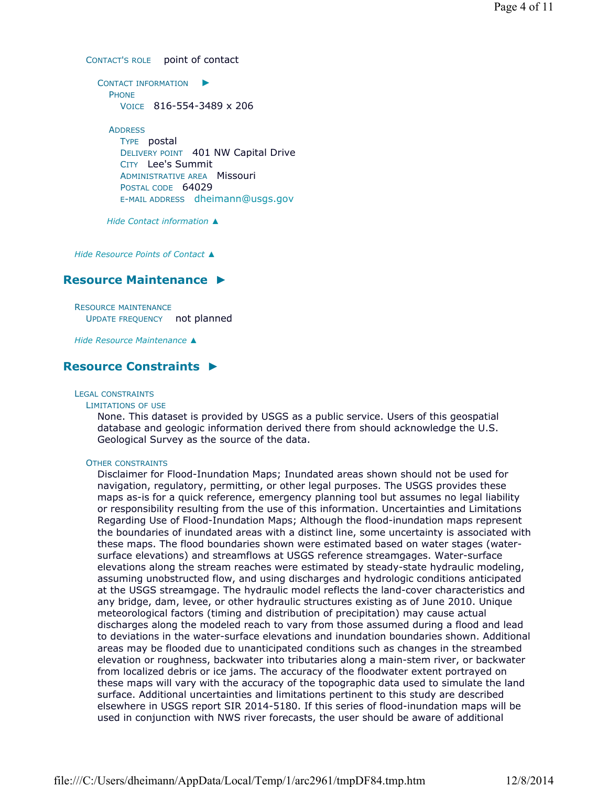CONTACT'S ROLE point of contact

CONTACT INFORMATION ► PHONE VOICE 816-554-3489 x 206 **ADDRESS** TYPE postal DELIVERY POINT 401 NW Capital Drive CITY Lee's Summit ADMINISTRATIVE AREA Missouri POSTAL CODE 64029 E-MAIL ADDRESS dheimann@usgs.gov

*Hide Contact information ▲*

*Hide Resource Points of Contact ▲*

# **Resource Maintenance ►**

RESOURCE MAINTENANCE UPDATE FREQUENCY not planned

*Hide Resource Maintenance ▲*

# **Resource Constraints ►**

#### LEGAL CONSTRAINTS

#### LIMITATIONS OF USE

None. This dataset is provided by USGS as a public service. Users of this geospatial database and geologic information derived there from should acknowledge the U.S. Geological Survey as the source of the data.

#### OTHER CONSTRAINTS

Disclaimer for Flood-Inundation Maps; Inundated areas shown should not be used for navigation, regulatory, permitting, or other legal purposes. The USGS provides these maps as-is for a quick reference, emergency planning tool but assumes no legal liability or responsibility resulting from the use of this information. Uncertainties and Limitations Regarding Use of Flood-Inundation Maps; Although the flood-inundation maps represent the boundaries of inundated areas with a distinct line, some uncertainty is associated with these maps. The flood boundaries shown were estimated based on water stages (watersurface elevations) and streamflows at USGS reference streamgages. Water-surface elevations along the stream reaches were estimated by steady-state hydraulic modeling, assuming unobstructed flow, and using discharges and hydrologic conditions anticipated at the USGS streamgage. The hydraulic model reflects the land-cover characteristics and any bridge, dam, levee, or other hydraulic structures existing as of June 2010. Unique meteorological factors (timing and distribution of precipitation) may cause actual discharges along the modeled reach to vary from those assumed during a flood and lead to deviations in the water-surface elevations and inundation boundaries shown. Additional areas may be flooded due to unanticipated conditions such as changes in the streambed elevation or roughness, backwater into tributaries along a main-stem river, or backwater from localized debris or ice jams. The accuracy of the floodwater extent portrayed on these maps will vary with the accuracy of the topographic data used to simulate the land surface. Additional uncertainties and limitations pertinent to this study are described elsewhere in USGS report SIR 2014-5180. If this series of flood-inundation maps will be used in conjunction with NWS river forecasts, the user should be aware of additional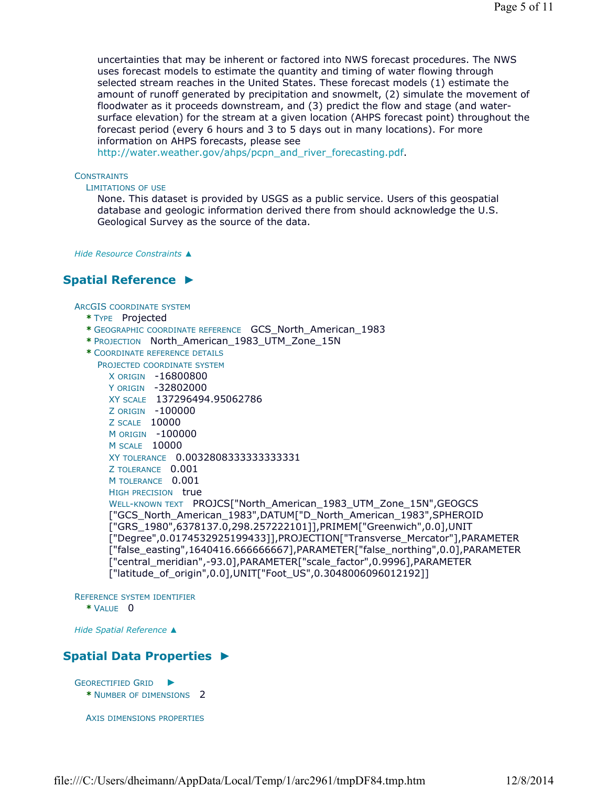uncertainties that may be inherent or factored into NWS forecast procedures. The NWS uses forecast models to estimate the quantity and timing of water flowing through selected stream reaches in the United States. These forecast models (1) estimate the amount of runoff generated by precipitation and snowmelt, (2) simulate the movement of floodwater as it proceeds downstream, and (3) predict the flow and stage (and watersurface elevation) for the stream at a given location (AHPS forecast point) throughout the forecast period (every 6 hours and 3 to 5 days out in many locations). For more information on AHPS forecasts, please see

http://water.weather.gov/ahps/pcpn\_and\_river\_forecasting.pdf.

#### **CONSTRAINTS**

#### LIMITATIONS OF USE

None. This dataset is provided by USGS as a public service. Users of this geospatial database and geologic information derived there from should acknowledge the U.S. Geological Survey as the source of the data.

*Hide Resource Constraints ▲*

# **Spatial Reference ►**

#### ARCGIS COORDINATE SYSTEM

- **\*** TYPE Projected
- **\*** GEOGRAPHIC COORDINATE REFERENCE GCS\_North\_American\_1983
- **\*** PROJECTION North\_American\_1983\_UTM\_Zone\_15N
- **\*** COORDINATE REFERENCE DETAILS
	- PROJECTED COORDINATE SYSTEM

```
X ORIGIN -16800800 
Y ORIGIN -32802000 
XY SCALE 137296494.95062786 
Z ORIGIN -100000 
Z SCALE 10000 
M ORIGIN -100000 
M SCALE 10000 
XY TOLERANCE 0.0032808333333333331 
Z TOLERANCE 0.001 
M TOLERANCE 0.001
HIGH PRECISION true
WELL-KNOWN TEXT PROJCS["North American 1983 UTM Zone 15N", GEOGCS
["GCS_North_American_1983",DATUM["D_North_American_1983",SPHEROID
["GRS_1980",6378137.0,298.257222101]],PRIMEM["Greenwich",0.0],UNIT
["Degree",0.0174532925199433]],PROJECTION["Transverse_Mercator"],PARAMETER
["false_easting",1640416.666666667],PARAMETER["false_northing",0.0],PARAMETER
["central_meridian",-93.0],PARAMETER["scale_factor",0.9996],PARAMETER
["latitude_of_origin",0.0],UNIT["Foot_US",0.3048006096012192]]
```
REFERENCE SYSTEM IDENTIFIER **\*** VALUE 0

*Hide Spatial Reference ▲*

# **Spatial Data Properties ►**

```
GEORECTIFIED GRID
►
 * NUMBER OF DIMENSIONS 2
```
AXIS DIMENSIONS PROPERTIES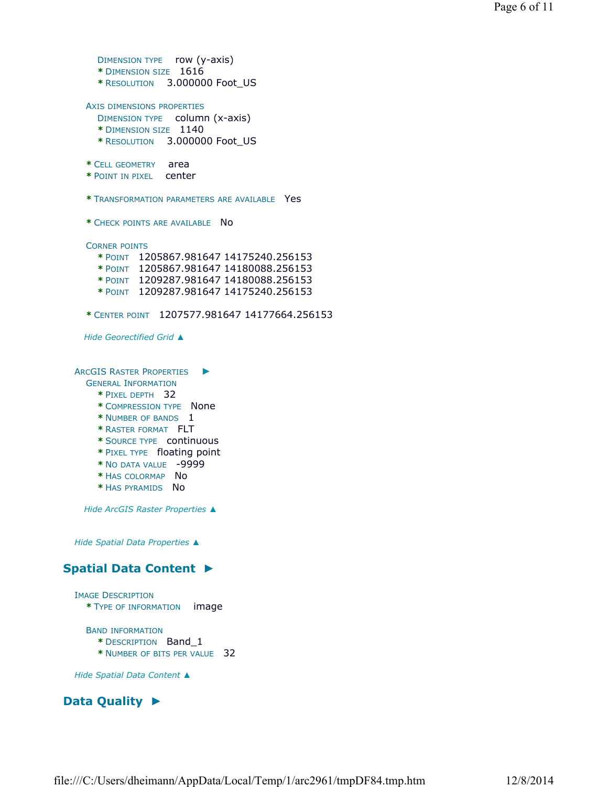```
DIMENSION TYPE row (y-axis) 
      * DIMENSION SIZE 1616 
      * RESOLUTION 3.000000 Foot_US
    AXIS DIMENSIONS PROPERTIES
      DIMENSION TYPE column (x-axis) 
      * DIMENSION SIZE 1140 
      * RESOLUTION 3.000000 Foot_US
    * CELL GEOMETRY area 
    * POINT IN PIXEL center
    * TRANSFORMATION PARAMETERS ARE AVAILABLE Yes
    * CHECK POINTS ARE AVAILABLE No
    CORNER POINTS
      * POINT 1205867.981647 14175240.256153 
      * POINT 1205867.981647 14180088.256153 
      * POINT 1209287.981647 14180088.256153 
      * POINT 1209287.981647 14175240.256153
    * CENTER POINT 1207577.981647 14177664.256153
   Hide Georectified Grid ▲
  ARCGIS RASTER PROPERTIES
    GENERAL INFORMATION
      * PIXEL DEPTH 32 
      * COMPRESSION TYPE None 
      * NUMBER OF BANDS 1 
      * RASTER FORMAT FLT 
      * SOURCE TYPE continuous 
      * PIXEL TYPE floating point 
      * NO DATA VALUE -9999 
      * HAS COLORMAP No 
      * HAS PYRAMIDS No
   Hide ArcGIS Raster Properties ▲
 Hide Spatial Data Properties ▲
Spatial Data Content 
►
 IMAGE DESCRIPTION
    * TYPE OF INFORMATION image
```
BAND INFORMATION

- **\*** DESCRIPTION Band\_1
- **\*** NUMBER OF BITS PER VALUE 32

*Hide Spatial Data Content ▲*

# **Data Quality ►**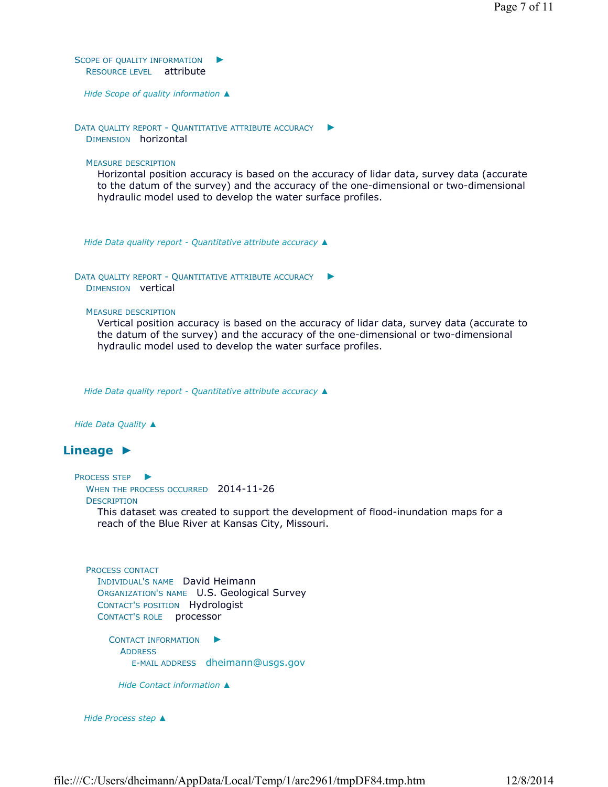SCOPE OF QUALITY INFORMATION RESOURCE LEVEL attribute ►

*Hide Scope of quality information ▲*

DATA QUALITY REPORT - QUANTITATIVE ATTRIBUTE ACCURACY DIMENSION horizontal ►

MEASURE DESCRIPTION

Horizontal position accuracy is based on the accuracy of lidar data, survey data (accurate to the datum of the survey) and the accuracy of the one-dimensional or two-dimensional hydraulic model used to develop the water surface profiles.

*Hide Data quality report - Quantitative attribute accuracy ▲*

```
DATA QUALITY REPORT - QUANTITATIVE ATTRIBUTE ACCURACY ▶
  DIMENSION vertical
```
MEASURE DESCRIPTION

Vertical position accuracy is based on the accuracy of lidar data, survey data (accurate to the datum of the survey) and the accuracy of the one-dimensional or two-dimensional hydraulic model used to develop the water surface profiles.

*Hide Data quality report - Quantitative attribute accuracy ▲*

*Hide Data Quality ▲*

# **Lineage ►**

```
PROCESS STEP ▶
```
WHEN THE PROCESS OCCURRED 2014-11-26

**DESCRIPTION** 

This dataset was created to support the development of flood-inundation maps for a reach of the Blue River at Kansas City, Missouri.

```
PROCESS CONTACT
  INDIVIDUAL'S NAME David Heimann 
  ORGANIZATION'S NAME U.S. Geological Survey 
  CONTACT'S POSITION Hydrologist 
  CONTACT'S ROLE processor
```
CONTACT INFORMATION ► ADDRESS E-MAIL ADDRESS dheimann@usgs.gov

*Hide Contact information ▲*

*Hide Process step ▲*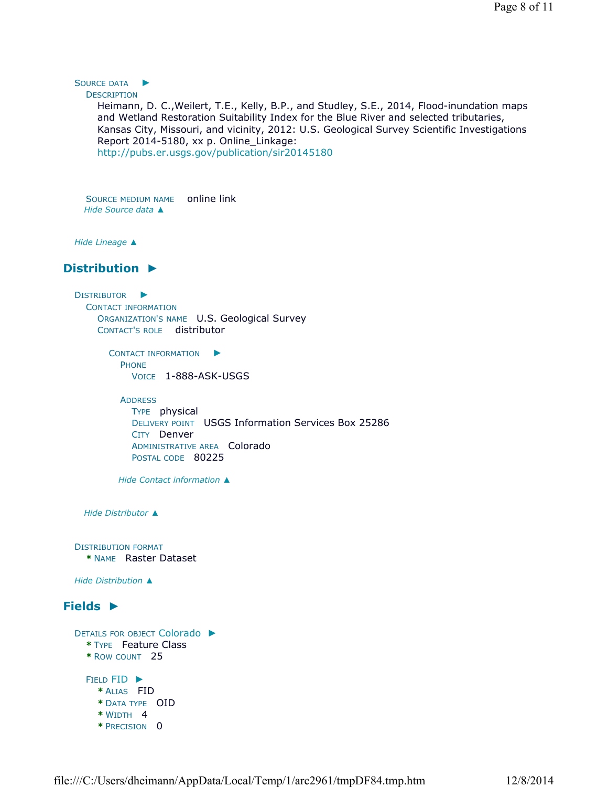#### SOURCE DATA ►

**DESCRIPTION** 

Heimann, D. C.,Weilert, T.E., Kelly, B.P., and Studley, S.E., 2014, Flood-inundation maps and Wetland Restoration Suitability Index for the Blue River and selected tributaries, Kansas City, Missouri, and vicinity, 2012: U.S. Geological Survey Scientific Investigations Report 2014-5180, xx p. Online\_Linkage: http://pubs.er.usgs.gov/publication/sir20145180

SOURCE MEDIUM NAME online link *Hide Source data ▲*

*Hide Lineage ▲*

# **Distribution ►**

DISTRIBUTOR ► CONTACT INFORMATION ORGANIZATION'S NAME U.S. Geological Survey CONTACT'S ROLE distributor

> CONTACT INFORMATION ► PHONE VOICE 1-888-ASK-USGS

ADDRESS

TYPE physical DELIVERY POINT USGS Information Services Box 25286 CITY Denver ADMINISTRATIVE AREA Colorado POSTAL CODE 80225

*Hide Contact information ▲*

*Hide Distributor ▲*

DISTRIBUTION FORMAT **\*** NAME Raster Dataset

*Hide Distribution ▲*

# **Fields ►**

```
DETAILS FOR OBJECT Colorado 
►
  * TYPE Feature Class 
  * ROW COUNT 25
  FIELD FID ▶
    * ALIAS FID 
    * DATA TYPE OID 
    * WIDTH 4 
    * PRECISION 0
```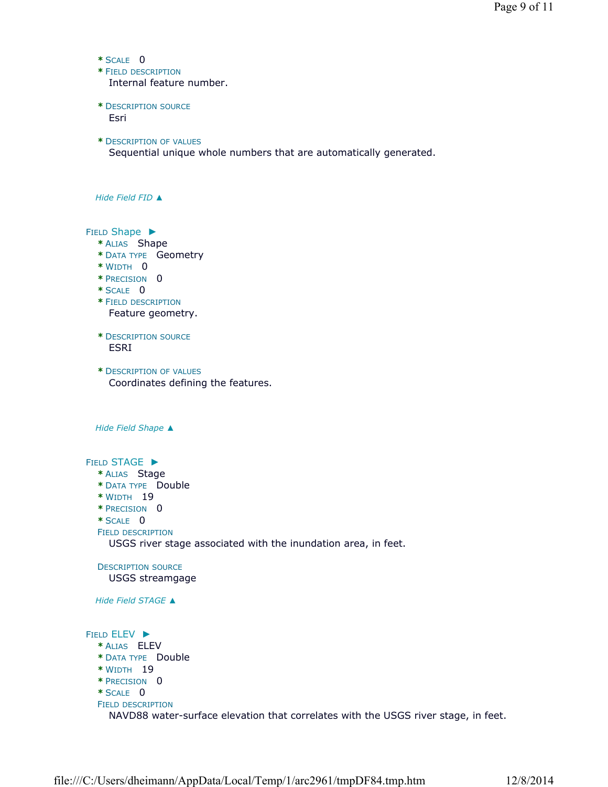```
* SCALE 0
```
**\*** FIELD DESCRIPTION

Internal feature number.

- **\*** DESCRIPTION SOURCE Esri
- **\*** DESCRIPTION OF VALUES

Sequential unique whole numbers that are automatically generated.

*Hide Field FID ▲*

FIELD Shape ▶

- **\*** ALIAS Shape
- **\*** DATA TYPE Geometry
- **\*** WIDTH 0
- **\*** PRECISION 0
- **\*** SCALE 0

**\*** FIELD DESCRIPTION Feature geometry.

- **\*** DESCRIPTION SOURCE ESRI
- **\*** DESCRIPTION OF VALUES Coordinates defining the features.

*Hide Field Shape ▲*

FIELD STAGE ► **\*** ALIAS Stage **\*** DATA TYPE Double **\*** WIDTH 19 **\*** PRECISION 0 **\*** SCALE 0 FIELD DESCRIPTION DESCRIPTION SOURCE *Hide Field STAGE ▲* FIELD ELEV ► **\*** ALIAS ELEV **\*** DATA TYPE Double **\*** WIDTH 19 **\*** PRECISION 0 **\*** SCALE 0 FIELD DESCRIPTION USGS river stage associated with the inundation area, in feet. USGS streamgage

NAVD88 water-surface elevation that correlates with the USGS river stage, in feet.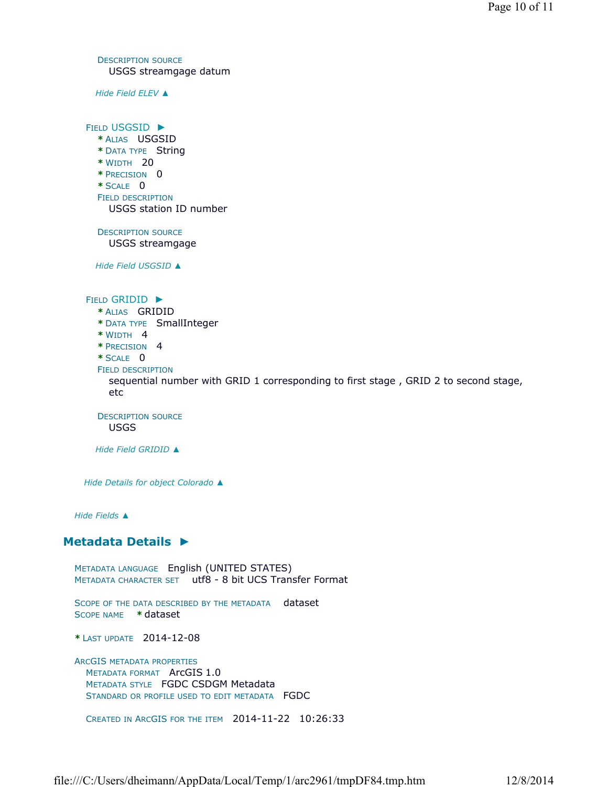DESCRIPTION SOURCE USGS streamgage datum

*Hide Field ELEV ▲*

FIELD USGSID ► **\*** ALIAS USGSID **\*** DATA TYPE String **\*** WIDTH 20 **\*** PRECISION 0 **\*** SCALE 0 FIELD DESCRIPTION DESCRIPTION SOURCE *Hide Field USGSID ▲* FIELD GRIDID ► **\*** ALIAS GRIDID **\*** DATA TYPE SmallInteger **\*** WIDTH 4 **\*** PRECISION 4 **\*** SCALE 0 FIELD DESCRIPTION DESCRIPTION SOURCE *Hide Field GRIDID ▲ Hide Details for object Colorado ▲ Hide Fields ▲* **Metadata Details ►** METADATA LANGUAGE English (UNITED STATES) METADATA CHARACTER SET utf8 - 8 bit UCS Transfer Format SCOPE OF THE DATA DESCRIBED BY THE METADATA dataset SCOPE NAME **\*** dataset USGS station ID number USGS streamgage sequential number with GRID 1 corresponding to first stage , GRID 2 to second stage, etc USGS

**\*** LAST UPDATE 2014-12-08

ARCGIS METADATA PROPERTIES METADATA FORMAT ArcGIS 1.0 METADATA STYLE FGDC CSDGM Metadata STANDARD OR PROFILE USED TO EDIT METADATA FGDC

CREATED IN ARCGIS FOR THE ITEM 2014-11-22 10:26:33